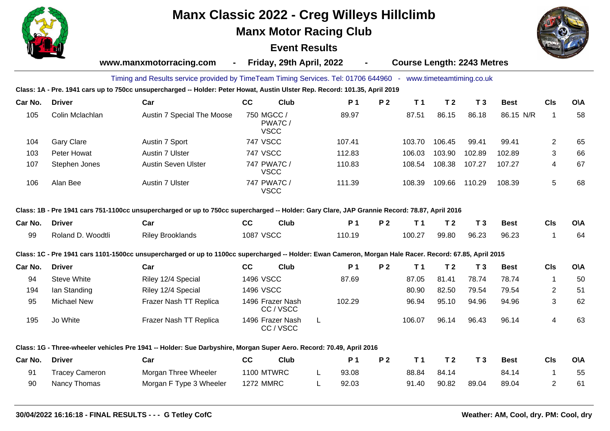

## **Manx Classic 2022 - Creg Willeys Hillclimb**

**Manx Motor Racing Club**

## **Event Results**



|         | Friday, 29th April, 2022<br>www.manxmotorracing.com<br>$\blacksquare$ |                                                                                                                                                         |    |                                     |   | $\blacksquare$ |                | <b>Course Length: 2243 Metres</b> |                |                |             |                |            |
|---------|-----------------------------------------------------------------------|---------------------------------------------------------------------------------------------------------------------------------------------------------|----|-------------------------------------|---|----------------|----------------|-----------------------------------|----------------|----------------|-------------|----------------|------------|
|         |                                                                       | Timing and Results service provided by TimeTeam Timing Services. Tel: 01706 644960 - www.timeteamtiming.co.uk                                           |    |                                     |   |                |                |                                   |                |                |             |                |            |
|         |                                                                       | Class: 1A - Pre. 1941 cars up to 750cc unsupercharged -- Holder: Peter Howat, Austin Ulster Rep. Record: 101.35, April 2019                             |    |                                     |   |                |                |                                   |                |                |             |                |            |
| Car No. | <b>Driver</b>                                                         | Car                                                                                                                                                     | cc | <b>Club</b>                         |   | <b>P1</b>      | <b>P2</b>      | T <sub>1</sub>                    | T <sub>2</sub> | T <sub>3</sub> | <b>Best</b> | <b>CIs</b>     | <b>OVA</b> |
| 105     | Colin Mclachlan                                                       | Austin 7 Special The Moose                                                                                                                              |    | 750 MGCC /<br>PWA7C/<br><b>VSCC</b> |   | 89.97          |                | 87.51                             | 86.15          | 86.18          | 86.15 N/R   | $\overline{1}$ | 58         |
| 104     | <b>Gary Clare</b>                                                     | Austin 7 Sport                                                                                                                                          |    | <b>747 VSCC</b>                     |   | 107.41         |                | 103.70                            | 106.45         | 99.41          | 99.41       | 2              | 65         |
| 103     | Peter Howat                                                           | Austin 7 Ulster                                                                                                                                         |    | <b>747 VSCC</b>                     |   | 112.83         |                | 106.03                            | 103.90         | 102.89         | 102.89      | 3              | 66         |
| 107     | Stephen Jones                                                         | <b>Austin Seven Ulster</b>                                                                                                                              |    | 747 PWA7C /<br><b>VSCC</b>          |   | 110.83         |                | 108.54                            | 108.38         | 107.27         | 107.27      | 4              | 67         |
| 106     | Alan Bee                                                              | Austin 7 Ulster                                                                                                                                         |    | 747 PWA7C /<br><b>VSCC</b>          |   | 111.39         |                | 108.39                            | 109.66         | 110.29         | 108.39      | 5              | 68         |
|         |                                                                       | Class: 1B - Pre 1941 cars 751-1100cc unsupercharged or up to 750cc supercharged -- Holder: Gary Clare, JAP Grannie Record: 78.87, April 2016            |    |                                     |   |                |                |                                   |                |                |             |                |            |
| Car No. | <b>Driver</b>                                                         | Car                                                                                                                                                     | cc | <b>Club</b>                         |   | <b>P1</b>      | <b>P2</b>      | T <sub>1</sub>                    | T <sub>2</sub> | T <sub>3</sub> | <b>Best</b> | <b>CIs</b>     | <b>O\A</b> |
| 99      | Roland D. Woodtli                                                     | <b>Riley Brooklands</b>                                                                                                                                 |    | <b>1087 VSCC</b>                    |   | 110.19         |                | 100.27                            | 99.80          | 96.23          | 96.23       | $\overline{1}$ | 64         |
|         |                                                                       | Class: 1C - Pre 1941 cars 1101-1500cc unsupercharged or up to 1100cc supercharged -- Holder: Ewan Cameron, Morgan Hale Racer. Record: 67.85, April 2015 |    |                                     |   |                |                |                                   |                |                |             |                |            |
| Car No. | <b>Driver</b>                                                         | Car                                                                                                                                                     | cc | <b>Club</b>                         |   | P <sub>1</sub> | P <sub>2</sub> | T <sub>1</sub>                    | T <sub>2</sub> | T <sub>3</sub> | <b>Best</b> | <b>CIs</b>     | <b>OVA</b> |
| 94      | <b>Steve White</b>                                                    | Riley 12/4 Special                                                                                                                                      |    | 1496 VSCC                           |   | 87.69          |                | 87.05                             | 81.41          | 78.74          | 78.74       | $\mathbf{1}$   | 50         |
| 194     | lan Standing                                                          | Riley 12/4 Special                                                                                                                                      |    | 1496 VSCC                           |   |                |                | 80.90                             | 82.50          | 79.54          | 79.54       | $\overline{2}$ | 51         |
| 95      | <b>Michael New</b>                                                    | Frazer Nash TT Replica                                                                                                                                  |    | 1496 Frazer Nash<br>CC/VSCC         |   | 102.29         |                | 96.94                             | 95.10          | 94.96          | 94.96       | 3              | 62         |
| 195     | Jo White                                                              | Frazer Nash TT Replica                                                                                                                                  |    | 1496 Frazer Nash<br>CC / VSCC       | L |                |                | 106.07                            | 96.14          | 96.43          | 96.14       | 4              | 63         |
|         |                                                                       | Class: 1G - Three-wheeler vehicles Pre 1941 -- Holder: Sue Darbyshire, Morgan Super Aero. Record: 70.49, April 2016                                     |    |                                     |   |                |                |                                   |                |                |             |                |            |
| Car No. | <b>Driver</b>                                                         | Car                                                                                                                                                     | cc | <b>Club</b>                         |   | P <sub>1</sub> | P <sub>2</sub> | T <sub>1</sub>                    | T <sub>2</sub> | T <sub>3</sub> | <b>Best</b> | <b>CIs</b>     | <b>O\A</b> |
| 91      | <b>Tracey Cameron</b>                                                 | Morgan Three Wheeler                                                                                                                                    |    | <b>1100 MTWRC</b>                   | L | 93.08          |                | 88.84                             | 84.14          |                | 84.14       | $\mathbf 1$    | 55         |
| 90      | Nancy Thomas                                                          | Morgan F Type 3 Wheeler                                                                                                                                 |    | <b>1272 MMRC</b>                    | L | 92.03          |                | 91.40                             | 90.82          | 89.04          | 89.04       | $\overline{2}$ | 61         |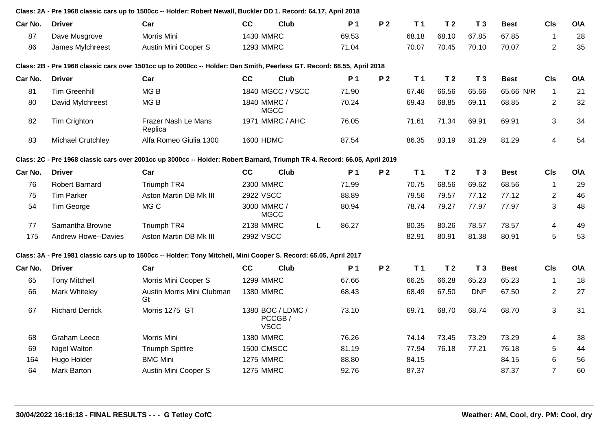|         |                                          | Class: 2A - Pre 1968 classic cars up to 1500cc -- Holder: Robert Newall, Buckler DD 1. Record: 64.17, April 2018           |                  |                                            |            |                |                |                |                |             |                         |            |
|---------|------------------------------------------|----------------------------------------------------------------------------------------------------------------------------|------------------|--------------------------------------------|------------|----------------|----------------|----------------|----------------|-------------|-------------------------|------------|
| Car No. | <b>Driver</b>                            | Car                                                                                                                        | cc               | Club                                       | P 1        | P <sub>2</sub> | T <sub>1</sub> | T <sub>2</sub> | T <sub>3</sub> | <b>Best</b> | <b>CIs</b>              | <b>OVA</b> |
| 87      | Dave Musgrove                            | Morris Mini                                                                                                                | <b>1430 MMRC</b> |                                            | 69.53      |                | 68.18          | 68.10          | 67.85          | 67.85       | $\mathbf{1}$            | 28         |
| 86      | Austin Mini Cooper S<br>James Mylchreest |                                                                                                                            | <b>1293 MMRC</b> |                                            | 71.04      |                | 70.07          | 70.45          | 70.10          | 70.07       | 2                       | 35         |
|         |                                          | Class: 2B - Pre 1968 classic cars over 1501cc up to 2000cc -- Holder: Dan Smith, Peerless GT. Record: 68.55, April 2018    |                  |                                            |            |                |                |                |                |             |                         |            |
| Car No. | <b>Driver</b>                            | Car                                                                                                                        | cc               | Club                                       | <b>P</b> 1 | P <sub>2</sub> | T <sub>1</sub> | T <sub>2</sub> | T <sub>3</sub> | <b>Best</b> | <b>CIs</b>              | <b>OVA</b> |
| 81      | <b>Tim Greenhill</b>                     | MG <sub>B</sub>                                                                                                            |                  | 1840 MGCC / VSCC                           | 71.90      |                | 67.46          | 66.56          | 65.66          | 65.66 N/R   | $\mathbf{1}$            | 21         |
| 80      | David Mylchreest                         | MG <sub>B</sub>                                                                                                            |                  | 1840 MMRC /<br><b>MGCC</b>                 | 70.24      |                | 69.43          | 68.85          | 69.11          | 68.85       | 2                       | 32         |
| 82      | Tim Crighton                             | Frazer Nash Le Mans<br>Replica                                                                                             |                  | 1971 MMRC / AHC                            | 76.05      |                | 71.61          | 71.34          | 69.91          | 69.91       | 3                       | 34         |
| 83      | Michael Crutchley                        | Alfa Romeo Giulia 1300                                                                                                     | 1600 HDMC        |                                            | 87.54      |                | 86.35          | 83.19          | 81.29          | 81.29       | $\overline{4}$          | 54         |
|         |                                          | Class: 2C - Pre 1968 classic cars over 2001cc up 3000cc -- Holder: Robert Barnard, Triumph TR 4. Record: 66.05, April 2019 |                  |                                            |            |                |                |                |                |             |                         |            |
| Car No. | <b>Driver</b>                            | Car                                                                                                                        | cc               | Club                                       | P 1        | P <sub>2</sub> | T <sub>1</sub> | T <sub>2</sub> | T <sub>3</sub> | <b>Best</b> | <b>CIs</b>              | <b>OVA</b> |
| 76      | <b>Robert Barnard</b>                    | Triumph TR4                                                                                                                | 2300 MMRC        |                                            | 71.99      |                | 70.75          | 68.56          | 69.62          | 68.56       | $\mathbf{1}$            | 29         |
| 75      | <b>Tim Parker</b>                        | Aston Martin DB Mk III                                                                                                     | 2922 VSCC        |                                            | 88.89      |                | 79.56          | 79.57          | 77.12          | 77.12       | $\overline{c}$          | 46         |
| 54      | <b>Tim George</b>                        | MG C                                                                                                                       |                  | 3000 MMRC /<br><b>MGCC</b>                 | 80.94      |                | 78.74          | 79.27          | 77.97          | 77.97       | $\mathfrak{S}$          | 48         |
| 77      | Samantha Browne                          | Triumph TR4                                                                                                                | 2138 MMRC        |                                            | 86.27      |                | 80.35          | 80.26          | 78.57          | 78.57       | $\overline{\mathbf{4}}$ | 49         |
| 175     | <b>Andrew Howe--Davies</b>               | Aston Martin DB Mk III                                                                                                     | 2992 VSCC        |                                            |            |                | 82.91          | 80.91          | 81.38          | 80.91       | 5                       | 53         |
|         |                                          | Class: 3A - Pre 1981 classic cars up to 1500cc -- Holder: Tony Mitchell, Mini Cooper S. Record: 65.05, April 2017          |                  |                                            |            |                |                |                |                |             |                         |            |
| Car No. | <b>Driver</b>                            | Car                                                                                                                        | cc               | Club                                       | <b>P1</b>  | P <sub>2</sub> | T <sub>1</sub> | T <sub>2</sub> | T <sub>3</sub> | <b>Best</b> | <b>CIs</b>              | <b>O\A</b> |
| 65      | <b>Tony Mitchell</b>                     | Morris Mini Cooper S                                                                                                       | <b>1299 MMRC</b> |                                            | 67.66      |                | 66.25          | 66.28          | 65.23          | 65.23       | $\mathbf{1}$            | 18         |
| 66      | Mark Whiteley                            | Austin Morris Mini Clubman<br>Gt                                                                                           | <b>1380 MMRC</b> |                                            | 68.43      |                | 68.49          | 67.50          | <b>DNF</b>     | 67.50       | $\overline{2}$          | 27         |
| 67      | <b>Richard Derrick</b>                   | Morris 1275 GT                                                                                                             |                  | 1380 BOC / LDMC /<br>PCCGB/<br><b>VSCC</b> | 73.10      |                | 69.71          | 68.70          | 68.74          | 68.70       | 3                       | 31         |
| 68      | <b>Graham Leece</b>                      | Morris Mini                                                                                                                | <b>1380 MMRC</b> |                                            | 76.26      |                | 74.14          | 73.45          | 73.29          | 73.29       | $\overline{\mathbf{4}}$ | 38         |
| 69      | Nigel Walton                             | <b>Triumph Spitfire</b>                                                                                                    |                  | 1500 CMSCC                                 | 81.19      |                | 77.94          | 76.18          | 77.21          | 76.18       | $\mathbf 5$             | 44         |
| 164     | Hugo Holder                              | <b>BMC Mini</b>                                                                                                            | <b>1275 MMRC</b> |                                            | 88.80      |                | 84.15          |                |                | 84.15       | 6                       | 56         |
| 64      | <b>Mark Barton</b>                       | Austin Mini Cooper S                                                                                                       | <b>1275 MMRC</b> |                                            | 92.76      |                | 87.37          |                |                | 87.37       | $\overline{7}$          | 60         |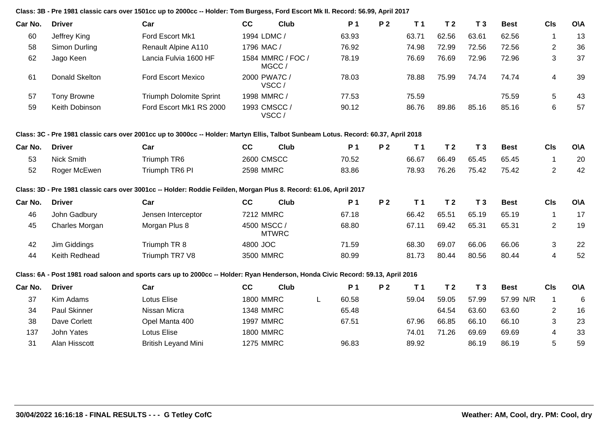## **Class: 3B - Pre 1981 classic cars over 1501cc up to 2000cc -- Holder: Tom Burgess, Ford Escort Mk II. Record: 56.99, April 2017**

| Car No. | <b>Driver</b>         | Car                                                                                                                                 | cc               | <b>Club</b>                 | <b>P1</b>      | P <sub>2</sub> | T <sub>1</sub> | T <sub>2</sub> | T <sub>3</sub> | <b>Best</b> | <b>CIs</b>     | <b>OVA</b> |
|---------|-----------------------|-------------------------------------------------------------------------------------------------------------------------------------|------------------|-----------------------------|----------------|----------------|----------------|----------------|----------------|-------------|----------------|------------|
| 60      | Jeffrey King          | Ford Escort Mk1                                                                                                                     |                  | 1994 LDMC /                 | 63.93          |                | 63.71          | 62.56          | 63.61          | 62.56       | $\mathbf{1}$   | 13         |
| 58      | Simon Durling         | Renault Alpine A110                                                                                                                 | 1796 MAC /       |                             | 76.92          |                | 74.98          | 72.99          | 72.56          | 72.56       | $\overline{c}$ | 36         |
| 62      | Jago Keen             | Lancia Fulvia 1600 HF                                                                                                               |                  | 1584 MMRC / FOC /<br>MGCC/  | 78.19          |                | 76.69          | 76.69          | 72.96          | 72.96       | 3              | 37         |
| 61      | <b>Donald Skelton</b> | <b>Ford Escort Mexico</b>                                                                                                           |                  | 2000 PWA7C /<br>VSCC/       | 78.03          |                | 78.88          | 75.99          | 74.74          | 74.74       | 4              | 39         |
| 57      | <b>Tony Browne</b>    | <b>Triumph Dolomite Sprint</b>                                                                                                      |                  | 1998 MMRC /                 | 77.53          |                | 75.59          |                |                | 75.59       | 5              | 43         |
| 59      | Keith Dobinson        | Ford Escort Mk1 RS 2000                                                                                                             |                  | 1993 CMSCC /<br>VSCC/       | 90.12          |                | 86.76          | 89.86          | 85.16          | 85.16       | 6              | 57         |
|         |                       | Class: 3C - Pre 1981 classic cars over 2001cc up to 3000cc -- Holder: Martyn Ellis, Talbot Sunbeam Lotus. Record: 60.37, April 2018 |                  |                             |                |                |                |                |                |             |                |            |
| Car No. | <b>Driver</b>         | Car                                                                                                                                 | cc               | <b>Club</b>                 | P <sub>1</sub> | P <sub>2</sub> | T <sub>1</sub> | T <sub>2</sub> | T <sub>3</sub> | <b>Best</b> | <b>CIs</b>     | <b>OVA</b> |
| 53      | Nick Smith            | Triumph TR6                                                                                                                         |                  | <b>2600 CMSCC</b>           | 70.52          |                | 66.67          | 66.49          | 65.45          | 65.45       | $\mathbf{1}$   | 20         |
| 52      | Roger McEwen          | Triumph TR6 PI                                                                                                                      | <b>2598 MMRC</b> |                             | 83.86          |                | 78.93          | 76.26          | 75.42          | 75.42       | $\overline{2}$ | 42         |
|         |                       | Class: 3D - Pre 1981 classic cars over 3001cc -- Holder: Roddie Feilden, Morgan Plus 8. Record: 61.06, April 2017                   |                  |                             |                |                |                |                |                |             |                |            |
| Car No. | <b>Driver</b>         | Car                                                                                                                                 | cc               | <b>Club</b>                 | P <sub>1</sub> | P <sub>2</sub> | T <sub>1</sub> | T <sub>2</sub> | T <sub>3</sub> | <b>Best</b> | <b>CIs</b>     | <b>O\A</b> |
| 46      | John Gadbury          | Jensen Interceptor                                                                                                                  | <b>7212 MMRC</b> |                             | 67.18          |                | 66.42          | 65.51          | 65.19          | 65.19       | $\mathbf{1}$   | 17         |
| 45      | Charles Morgan        | Morgan Plus 8                                                                                                                       |                  | 4500 MSCC /<br><b>MTWRC</b> | 68.80          |                | 67.11          | 69.42          | 65.31          | 65.31       | $\overline{2}$ | 19         |
| 42      | Jim Giddings          | Triumph TR 8                                                                                                                        | 4800 JOC         |                             | 71.59          |                | 68.30          | 69.07          | 66.06          | 66.06       | 3              | 22         |
| 44      | Keith Redhead         | Triumph TR7 V8                                                                                                                      | 3500 MMRC        |                             | 80.99          |                | 81.73          | 80.44          | 80.56          | 80.44       | 4              | 52         |
|         |                       | Class: 6A - Post 1981 road saloon and sports cars up to 2000cc -- Holder: Ryan Henderson, Honda Civic Record: 59.13, April 2016     |                  |                             |                |                |                |                |                |             |                |            |
| Car No. | <b>Driver</b>         | Car                                                                                                                                 | cc               | Club                        | <b>P1</b>      | <b>P2</b>      | T <sub>1</sub> | T <sub>2</sub> | T <sub>3</sub> | <b>Best</b> | <b>CIs</b>     | <b>OVA</b> |
| 37      | Kim Adams             | <b>Lotus Elise</b>                                                                                                                  | <b>1800 MMRC</b> |                             | L<br>60.58     |                | 59.04          | 59.05          | 57.99          | 57.99 N/R   | $\overline{1}$ | 6          |
| 34      | Paul Skinner          | Nissan Micra                                                                                                                        | <b>1348 MMRC</b> |                             | 65.48          |                |                | 64.54          | 63.60          | 63.60       | $\overline{2}$ | 16         |
| 38      | Dave Corlett          | Opel Manta 400                                                                                                                      | <b>1997 MMRC</b> |                             | 67.51          |                | 67.96          | 66.85          | 66.10          | 66.10       | 3              | 23         |
| 137     | John Yates            | <b>Lotus Elise</b>                                                                                                                  | <b>1800 MMRC</b> |                             |                |                | 74.01          | 71.26          | 69.69          | 69.69       | 4              | 33         |
| 31      | Alan Hisscott         | <b>British Leyand Mini</b>                                                                                                          | <b>1275 MMRC</b> |                             | 96.83          |                | 89.92          |                | 86.19          | 86.19       | 5              | 59         |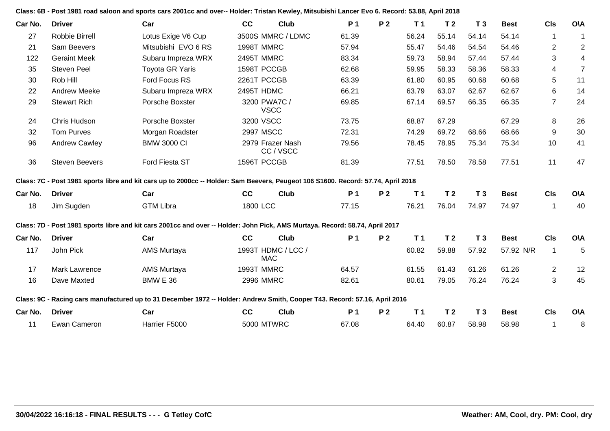**Car No. Driver Car CC Club P 1 P 2 T 1 T 2 T 3 Best Cls O\A** 27 Robbie Birrell Lotus Exige V6 Cup 3500S MMRC / LDMC 61.39 56.24 55.14 54.14 54.14 1 1 21 Sam Beevers Mitsubishi EVO 6 RS 1998T MMRC 57.94 55.47 54.46 54.54 54.46 2 2 122 Geraint Meek Subaru Impreza WRX 2495T MMRC 83.34 59.73 58.94 57.44 57.44 3 4 35 Steven Peel Toyota GR Yaris 1598T PCCGB 62.68 59.95 58.33 58.36 58.33 4 7 30 Rob Hill Ford Focus RS 2261T PCCGB 63.39 61.80 60.95 60.68 60.68 5 11 22 Andrew Meeke Subaru Impreza WRX 2495T HDMC 66.21 63.79 63.07 62.67 62.67 6 14 29 Stewart Rich Porsche Boxster 3200 PWA7C / **VSCC** 69.85 67.14 69.57 66.35 66.35 7 24 24 Chris Hudson Porsche Boxster 3200 VSCC 73.75 68.87 67.29 67.29 8 26 32 Tom Purves Morgan Roadster 2997 MSCC 72.31 74.29 69.72 68.66 68.66 9 30 96 Andrew Cawley BMW 3000 CI 2979 Frazer Nash CC / VSCC 79.56 78.45 78.95 75.34 75.34 10 41 36 Steven Beevers Ford Fiesta ST 1596T PCCGB 81.39 77.51 78.50 78.58 77.51 11 47 **Class: 7C - Post 1981 sports libre and kit cars up to 2000cc -- Holder: Sam Beevers, Peugeot 106 S1600. Record: 57.74, April 2018 Car No. Driver Car CC Club P 1 P 2 T 1 T 2 T 3 Best Cls O\A** 18 Jim Sugden GTM Libra 1800 LCC 77.15 76.21 76.04 74.97 74.97 1 40 **Class: 7D - Post 1981 sports libre and kit cars 2001cc and over -- Holder: John Pick, AMS Murtaya. Record: 58.74, April 2017 Car No. Driver Car CC Club P 1 P 2 T 1 T 2 T 3 Best Cls O\A** 117 John Pick **AMS Murtaya** 1993T HDMC / LCC / MAC 60.82 59.88 57.92 57.92 N/R 1 5 17 Mark Lawrence AMS Murtaya 1993T MMRC 64.57 61.55 61.43 61.26 61.26 2 12 16 Dave Maxted BMW E 36 2996 MMRC 82.61 80.61 79.05 76.24 76.24 3 45 **Class: 9C - Racing cars manufactured up to 31 December 1972 -- Holder: Andrew Smith, Cooper T43. Record: 57.16, April 2016 Car No. Driver Car CC Club P 1 P 2 T 1 T 2 T 3 Best Cls O\A** 11 Ewan Cameron Harrier F5000 5000 MTWRC 67.08 64.40 60.87 58.98 58.98 1 8

**Class: 6B - Post 1981 road saloon and sports cars 2001cc and over-- Holder: Tristan Kewley, Mitsubishi Lancer Evo 6. Record: 53.88, April 2018**